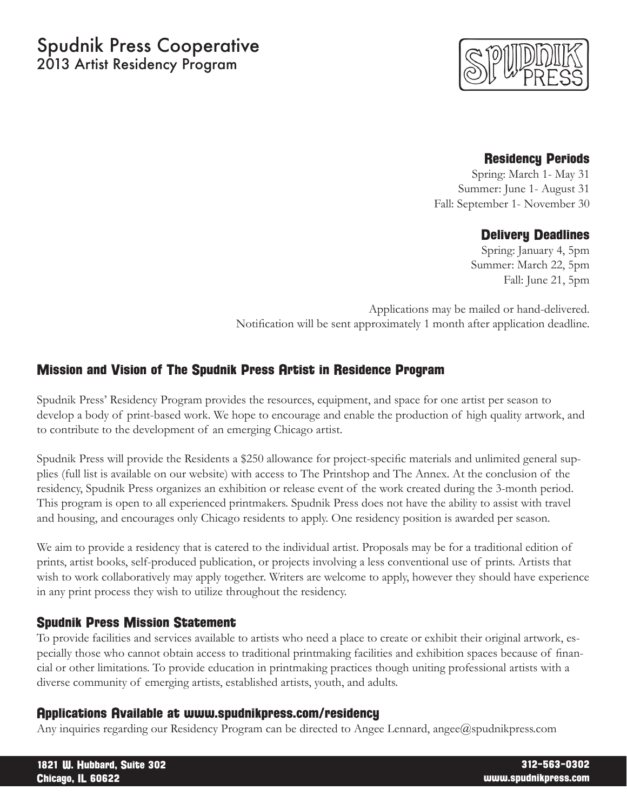# Spudnik Press Cooperative 2013 Artist Residency Program



## Residency Periods

Spring: March 1- May 31 Summer: June 1- August 31 Fall: September 1- November 30

## Delivery Deadlines

 Spring: January 4, 5pm Summer: March 22, 5pm Fall: June 21, 5pm

Applications may be mailed or hand-delivered. Notification will be sent approximately 1 month after application deadline.

# Mission and Vision of The Spudnik Press Artist in Residence Program

Spudnik Press' Residency Program provides the resources, equipment, and space for one artist per season to develop a body of print-based work. We hope to encourage and enable the production of high quality artwork, and to contribute to the development of an emerging Chicago artist.

Spudnik Press will provide the Residents a \$250 allowance for project-specific materials and unlimited general supplies (full list is available on our website) with access to The Printshop and The Annex. At the conclusion of the residency, Spudnik Press organizes an exhibition or release event of the work created during the 3-month period. This program is open to all experienced printmakers. Spudnik Press does not have the ability to assist with travel and housing, and encourages only Chicago residents to apply. One residency position is awarded per season.

We aim to provide a residency that is catered to the individual artist. Proposals may be for a traditional edition of prints, artist books, self-produced publication, or projects involving a less conventional use of prints. Artists that wish to work collaboratively may apply together. Writers are welcome to apply, however they should have experience in any print process they wish to utilize throughout the residency.

# Spudnik Press Mission Statement

To provide facilities and services available to artists who need a place to create or exhibit their original artwork, especially those who cannot obtain access to traditional printmaking facilities and exhibition spaces because of financial or other limitations. To provide education in printmaking practices though uniting professional artists with a diverse community of emerging artists, established artists, youth, and adults.

#### Applications Available at www.spudnikpress.com/residency

Any inquiries regarding our Residency Program can be directed to Angee Lennard, angee@spudnikpress.com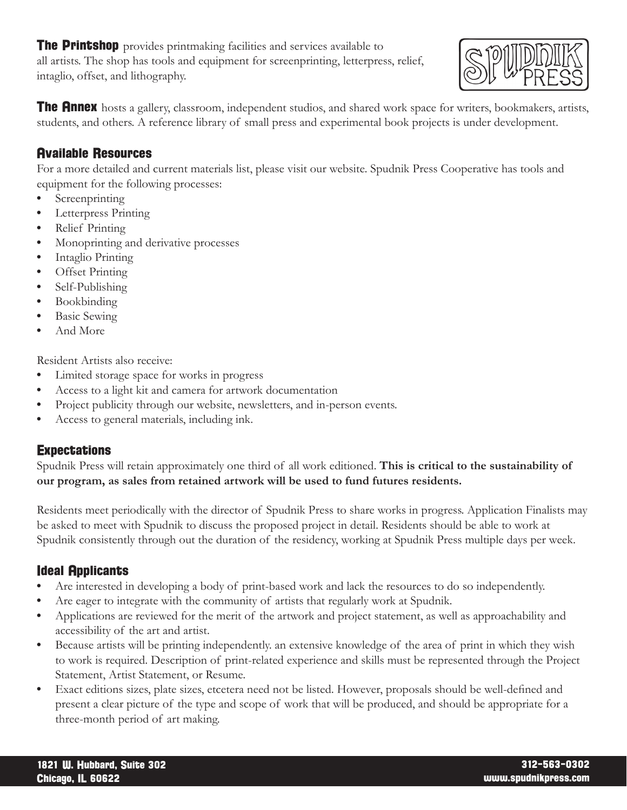**The Printshop** provides printmaking facilities and services available to all artists. The shop has tools and equipment for screenprinting, letterpress, relief, intaglio, offset, and lithography.



**The Annex** hosts a gallery, classroom, independent studios, and shared work space for writers, bookmakers, artists, students, and others. A reference library of small press and experimental book projects is under development.

# Available Resources

For a more detailed and current materials list, please visit our website. Spudnik Press Cooperative has tools and equipment for the following processes:

- Screenprinting
- • Letterpress Printing
- Relief Printing
- Monoprinting and derivative processes
- Intaglio Printing
- Offset Printing
- Self-Publishing
- Bookbinding
- **Basic Sewing**
- And More

Resident Artists also receive:

- • Limited storage space for works in progress
- Access to a light kit and camera for artwork documentation
- Project publicity through our website, newsletters, and in-person events.
- • Access to general materials, including ink.

# **Expectations**

Spudnik Press will retain approximately one third of all work editioned. **This is critical to the sustainability of our program, as sales from retained artwork will be used to fund futures residents.**

Residents meet periodically with the director of Spudnik Press to share works in progress. Application Finalists may be asked to meet with Spudnik to discuss the proposed project in detail. Residents should be able to work at Spudnik consistently through out the duration of the residency, working at Spudnik Press multiple days per week.

# Ideal Applicants

- Are interested in developing a body of print-based work and lack the resources to do so independently.
- Are eager to integrate with the community of artists that regularly work at Spudnik.
- Applications are reviewed for the merit of the artwork and project statement, as well as approachability and accessibility of the art and artist.
- Because artists will be printing independently, an extensive knowledge of the area of print in which they wish to work is required. Description of print-related experience and skills must be represented through the Project Statement, Artist Statement, or Resume.
- Exact editions sizes, plate sizes, etcetera need not be listed. However, proposals should be well-defined and present a clear picture of the type and scope of work that will be produced, and should be appropriate for a three-month period of art making.